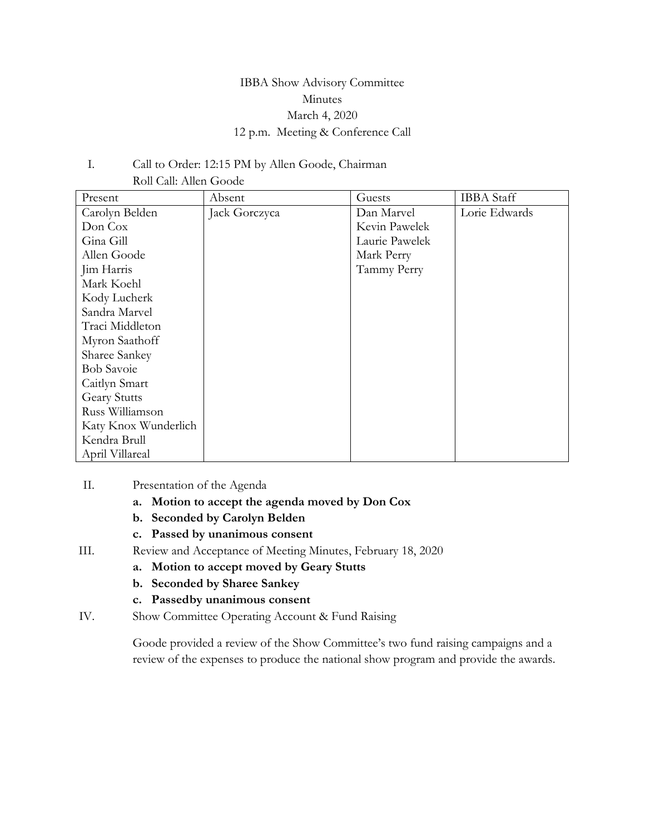## IBBA Show Advisory Committee Minutes March 4, 2020 12 p.m. Meeting & Conference Call

### I. Call to Order: 12:15 PM by Allen Goode, Chairman Roll Call: Allen Goode

| Present              | Absent        | Guests         | <b>IBBA</b> Staff |
|----------------------|---------------|----------------|-------------------|
| Carolyn Belden       | Jack Gorczyca | Dan Marvel     | Lorie Edwards     |
| Don Cox              |               | Kevin Pawelek  |                   |
| Gina Gill            |               | Laurie Pawelek |                   |
| Allen Goode          |               | Mark Perry     |                   |
| Jim Harris           |               | Tammy Perry    |                   |
| Mark Koehl           |               |                |                   |
| Kody Lucherk         |               |                |                   |
| Sandra Marvel        |               |                |                   |
| Traci Middleton      |               |                |                   |
| Myron Saathoff       |               |                |                   |
| Sharee Sankey        |               |                |                   |
| <b>Bob Savoie</b>    |               |                |                   |
| Caitlyn Smart        |               |                |                   |
| <b>Geary Stutts</b>  |               |                |                   |
| Russ Williamson      |               |                |                   |
| Katy Knox Wunderlich |               |                |                   |
| Kendra Brull         |               |                |                   |
| April Villareal      |               |                |                   |

- II. Presentation of the Agenda
	- **a. Motion to accept the agenda moved by Don Cox**
	- **b. Seconded by Carolyn Belden**
	- **c. Passed by unanimous consent**
- III. Review and Acceptance of Meeting Minutes, February 18, 2020
	- **a. Motion to accept moved by Geary Stutts**
	- **b. Seconded by Sharee Sankey**
	- **c. Passedby unanimous consent**
- IV. Show Committee Operating Account & Fund Raising

Goode provided a review of the Show Committee's two fund raising campaigns and a review of the expenses to produce the national show program and provide the awards.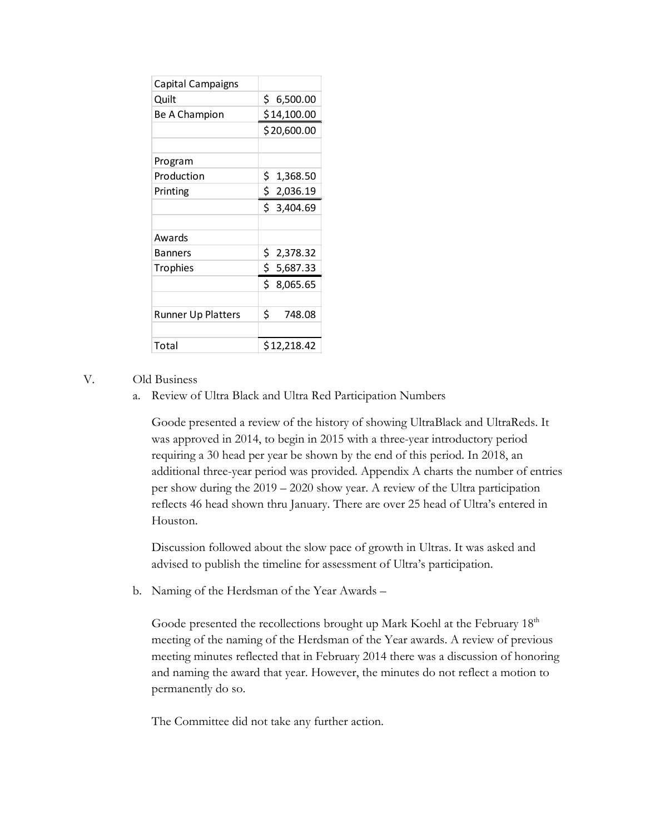| Capital Campaigns         |                 |
|---------------------------|-----------------|
| Quilt                     | \$ 6,500.00     |
| Be A Champion             | \$14,100.00     |
|                           | \$20,600.00     |
|                           |                 |
| Program                   |                 |
| Production                | \$.<br>1,368.50 |
| Printing                  | \$2,036.19      |
|                           | Ś.<br>3,404.69  |
|                           |                 |
| Awards                    |                 |
| Banners                   | \$<br>2,378.32  |
| <b>Trophies</b>           | \$.<br>5,687.33 |
|                           | \$<br>8,065.65  |
|                           |                 |
| <b>Runner Up Platters</b> | \$<br>748.08    |
|                           |                 |
| Total                     | \$12,218.42     |

### V. Old Business

a. Review of Ultra Black and Ultra Red Participation Numbers

Goode presented a review of the history of showing UltraBlack and UltraReds. It was approved in 2014, to begin in 2015 with a three-year introductory period requiring a 30 head per year be shown by the end of this period. In 2018, an additional three-year period was provided. Appendix A charts the number of entries per show during the 2019 – 2020 show year. A review of the Ultra participation reflects 46 head shown thru January. There are over 25 head of Ultra's entered in Houston.

Discussion followed about the slow pace of growth in Ultras. It was asked and advised to publish the timeline for assessment of Ultra's participation.

b. Naming of the Herdsman of the Year Awards –

Goode presented the recollections brought up Mark Koehl at the February  $18<sup>th</sup>$ meeting of the naming of the Herdsman of the Year awards. A review of previous meeting minutes reflected that in February 2014 there was a discussion of honoring and naming the award that year. However, the minutes do not reflect a motion to permanently do so.

The Committee did not take any further action.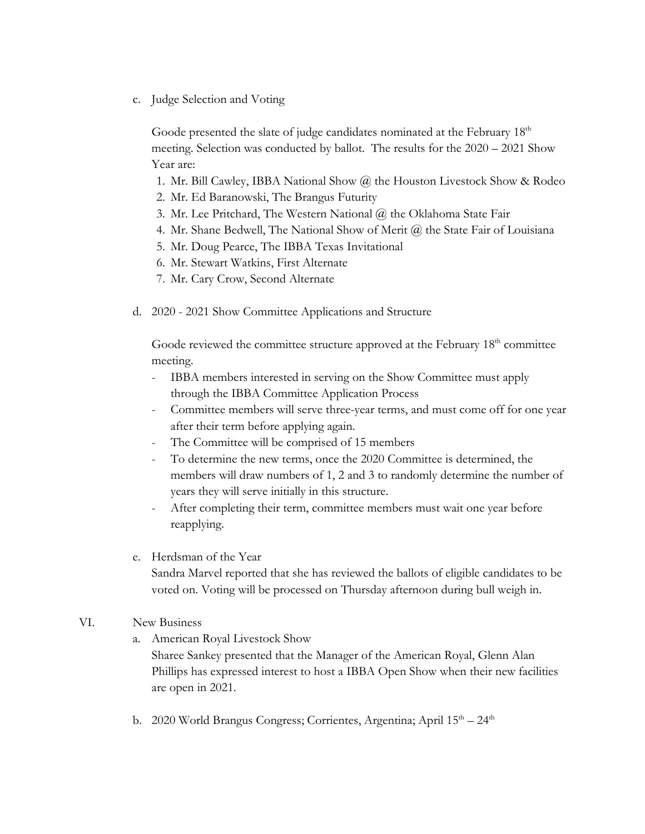c. Judge Selection and Voting

Goode presented the slate of judge candidates nominated at the February  $18<sup>th</sup>$ meeting. Selection was conducted by ballot. The results for the 2020 – 2021 Show Year are:

- 1. Mr. Bill Cawley, IBBA National Show @ the Houston Livestock Show & Rodeo
- 2. Mr. Ed Baranowski, The Brangus Futurity
- 3. Mr. Lee Pritchard, The Western National @ the Oklahoma State Fair
- 4. Mr. Shane Bedwell, The National Show of Merit @ the State Fair of Louisiana
- 5. Mr. Doug Pearce, The IBBA Texas Invitational
- 6. Mr. Stewart Watkins, First Alternate
- 7. Mr. Cary Crow, Second Alternate
- d. 2020 2021 Show Committee Applications and Structure

Goode reviewed the committee structure approved at the February 18<sup>th</sup> committee meeting.

- IBBA members interested in serving on the Show Committee must apply through the IBBA Committee Application Process
- Committee members will serve three-year terms, and must come off for one year after their term before applying again.
- The Committee will be comprised of 15 members
- To determine the new terms, once the 2020 Committee is determined, the members will draw numbers of 1, 2 and 3 to randomly determine the number of years they will serve initially in this structure.
- After completing their term, committee members must wait one year before reapplying.
- e. Herdsman of the Year

Sandra Marvel reported that she has reviewed the ballots of eligible candidates to be voted on. Voting will be processed on Thursday afternoon during bull weigh in.

- VI. New Business
	- a. American Royal Livestock Show

Sharee Sankey presented that the Manager of the American Royal, Glenn Alan Phillips has expressed interest to host a IBBA Open Show when their new facilities are open in 2021.

b. 2020 World Brangus Congress; Corrientes, Argentina; April 15<sup>th</sup> – 24<sup>th</sup>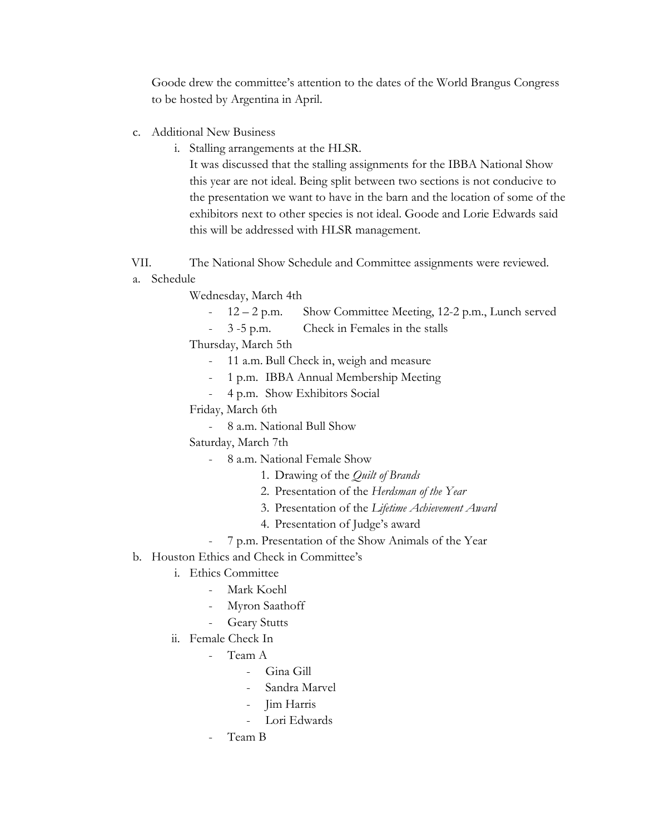Goode drew the committee's attention to the dates of the World Brangus Congress to be hosted by Argentina in April.

- c. Additional New Business
	- i. Stalling arrangements at the HLSR.

It was discussed that the stalling assignments for the IBBA National Show this year are not ideal. Being split between two sections is not conducive to the presentation we want to have in the barn and the location of some of the exhibitors next to other species is not ideal. Goode and Lorie Edwards said this will be addressed with HLSR management.

- VII. The National Show Schedule and Committee assignments were reviewed.
- a. Schedule

Wednesday, March 4th

- 12 2 p.m. Show Committee Meeting, 12-2 p.m., Lunch served
- 3 -5 p.m. Check in Females in the stalls

Thursday, March 5th

- 11 a.m. Bull Check in, weigh and measure
- 1 p.m. IBBA Annual Membership Meeting
- 4 p.m. Show Exhibitors Social

Friday, March 6th

- 8 a.m. National Bull Show

Saturday, March 7th

- 8 a.m. National Female Show
	- 1. Drawing of the *Quilt of Brands*
	- 2. Presentation of the *Herdsman of the Year*
	- 3. Presentation of the *Lifetime Achievement Award*
	- 4. Presentation of Judge's award
- 7 p.m. Presentation of the Show Animals of the Year
- b. Houston Ethics and Check in Committee's
	- i. Ethics Committee
		- Mark Koehl
		- Myron Saathoff
		- **Geary Stutts**
	- ii. Female Check In
		- Team A
			- Gina Gill
			- Sandra Marvel
			- Jim Harris
			- Lori Edwards
		- Team B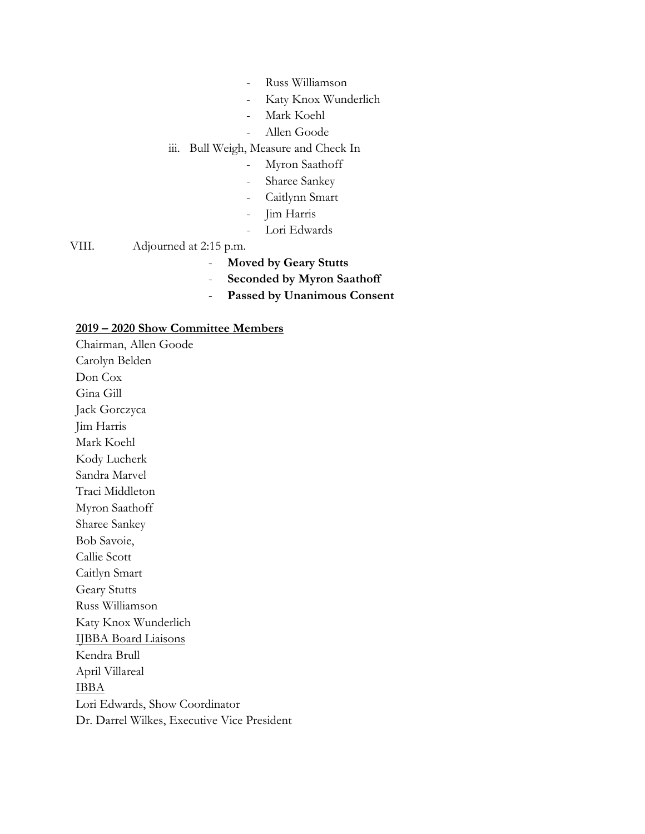- Russ Williamson
- Katy Knox Wunderlich
- Mark Koehl
- Allen Goode

#### iii. Bull Weigh, Measure and Check In

- Myron Saathoff
- Sharee Sankey
- Caitlynn Smart
- Jim Harris
- Lori Edwards

### VIII. Adjourned at 2:15 p.m.

- **Moved by Geary Stutts**
- **Seconded by Myron Saathoff**
- **Passed by Unanimous Consent**

#### **2019 – 2020 Show Committee Members**

Chairman, Allen Goode Carolyn Belden Don Cox Gina Gill Jack Gorczyca Jim Harris Mark Koehl Kody Lucherk Sandra Marvel Traci Middleton Myron Saathoff Sharee Sankey Bob Savoie, Callie Scott Caitlyn Smart Geary Stutts Russ Williamson Katy Knox Wunderlich IJBBA Board Liaisons Kendra Brull April Villareal IBBA Lori Edwards, Show Coordinator Dr. Darrel Wilkes, Executive Vice President